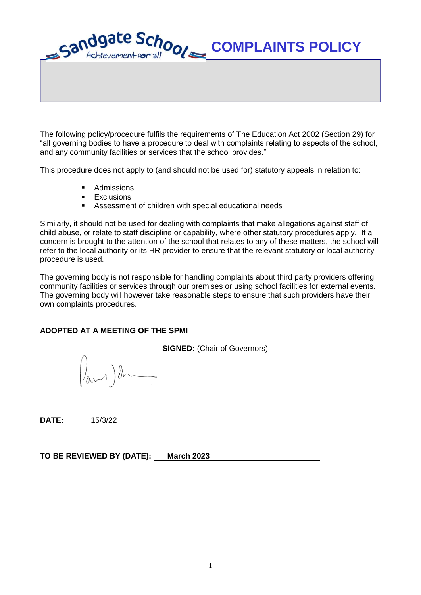

The following policy/procedure fulfils the requirements of The Education Act 2002 (Section 29) for "all governing bodies to have a procedure to deal with complaints relating to aspects of the school, and any community facilities or services that the school provides."

This procedure does not apply to (and should not be used for) statutory appeals in relation to:

- Admissions
- **Exclusions**
- Assessment of children with special educational needs

Similarly, it should not be used for dealing with complaints that make allegations against staff of child abuse, or relate to staff discipline or capability, where other statutory procedures apply. If a concern is brought to the attention of the school that relates to any of these matters, the school will refer to the local authority or its HR provider to ensure that the relevant statutory or local authority procedure is used.

The governing body is not responsible for handling complaints about third party providers offering community facilities or services through our premises or using school facilities for external events. The governing body will however take reasonable steps to ensure that such providers have their own complaints procedures.

# **ADOPTED AT A MEETING OF THE SPMI**

**SIGNED:** (Chair of Governors)

 $\int_{\alpha}$ 

**DATE:** 15/3/22\_\_\_\_\_\_\_\_\_\_\_\_\_\_

TO BE REVIEWED BY (DATE): March 2023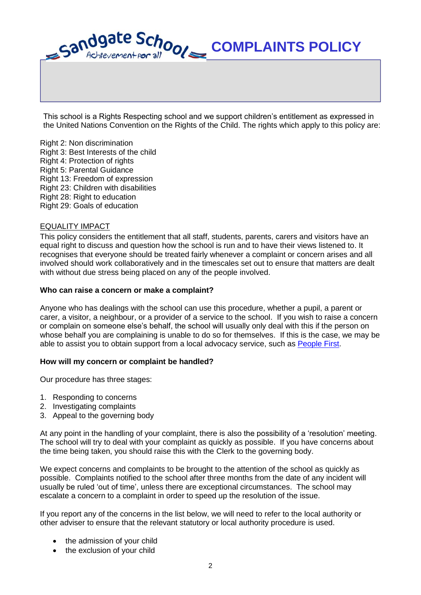

This school is a Rights Respecting school and we support children's entitlement as expressed in the United Nations Convention on the Rights of the Child. The rights which apply to this policy are:

Right 2: Non discrimination Right 3: Best Interests of the child Right 4: Protection of rights Right 5: Parental Guidance Right 13: Freedom of expression Right 23: Children with disabilities Right 28: Right to education Right 29: Goals of education

## EQUALITY IMPACT

This policy considers the entitlement that all staff, students, parents, carers and visitors have an equal right to discuss and question how the school is run and to have their views listened to. It recognises that everyone should be treated fairly whenever a complaint or concern arises and all involved should work collaboratively and in the timescales set out to ensure that matters are dealt with without due stress being placed on any of the people involved.

#### **Who can raise a concern or make a complaint?**

Anyone who has dealings with the school can use this procedure, whether a pupil, a parent or carer, a visitor, a neighbour, or a provider of a service to the school. If you wish to raise a concern or complain on someone else's behalf, the school will usually only deal with this if the person on whose behalf you are complaining is unable to do so for themselves. If this is the case, we may be able to assist you to obtain support from a local advocacy service, such as [People First.](http://www.peoplefirstcumbria.org.uk/)

#### **How will my concern or complaint be handled?**

Our procedure has three stages:

- 1. Responding to concerns
- 2. Investigating complaints
- 3. Appeal to the governing body

At any point in the handling of your complaint, there is also the possibility of a 'resolution' meeting. The school will try to deal with your complaint as quickly as possible. If you have concerns about the time being taken, you should raise this with the Clerk to the governing body.

We expect concerns and complaints to be brought to the attention of the school as quickly as possible. Complaints notified to the school after three months from the date of any incident will usually be ruled 'out of time', unless there are exceptional circumstances. The school may escalate a concern to a complaint in order to speed up the resolution of the issue.

If you report any of the concerns in the list below, we will need to refer to the local authority or other adviser to ensure that the relevant statutory or local authority procedure is used.

- the admission of your child
- the exclusion of your child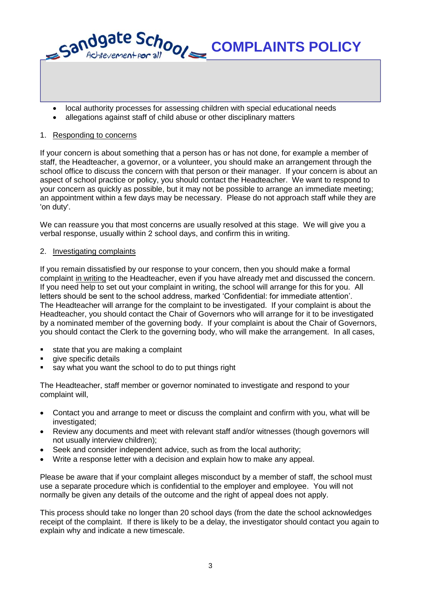local authority processes for assessing children with special educational needs

**COMPLAINTS POLICY**

allegations against staff of child abuse or other disciplinary matters

# 1. Responding to concerns

Sandgate School

If your concern is about something that a person has or has not done, for example a member of staff, the Headteacher, a governor, or a volunteer, you should make an arrangement through the school office to discuss the concern with that person or their manager. If your concern is about an aspect of school practice or policy, you should contact the Headteacher. We want to respond to your concern as quickly as possible, but it may not be possible to arrange an immediate meeting; an appointment within a few days may be necessary. Please do not approach staff while they are 'on duty'.

We can reassure you that most concerns are usually resolved at this stage. We will give you a verbal response, usually within 2 school days, and confirm this in writing.

# 2. Investigating complaints

If you remain dissatisfied by our response to your concern, then you should make a formal complaint in writing to the Headteacher, even if you have already met and discussed the concern. If you need help to set out your complaint in writing, the school will arrange for this for you. All letters should be sent to the school address, marked 'Confidential: for immediate attention'. The Headteacher will arrange for the complaint to be investigated. If your complaint is about the Headteacher, you should contact the Chair of Governors who will arrange for it to be investigated by a nominated member of the governing body. If your complaint is about the Chair of Governors, you should contact the Clerk to the governing body, who will make the arrangement. In all cases,

- state that you are making a complaint
- give specific details
- say what you want the school to do to put things right

The Headteacher, staff member or governor nominated to investigate and respond to your complaint will,

- Contact you and arrange to meet or discuss the complaint and confirm with you, what will be investigated;
- Review any documents and meet with relevant staff and/or witnesses (though governors will not usually interview children);
- Seek and consider independent advice, such as from the local authority;
- Write a response letter with a decision and explain how to make any appeal.

Please be aware that if your complaint alleges misconduct by a member of staff, the school must use a separate procedure which is confidential to the employer and employee. You will not normally be given any details of the outcome and the right of appeal does not apply.

This process should take no longer than 20 school days (from the date the school acknowledges receipt of the complaint. If there is likely to be a delay, the investigator should contact you again to explain why and indicate a new timescale.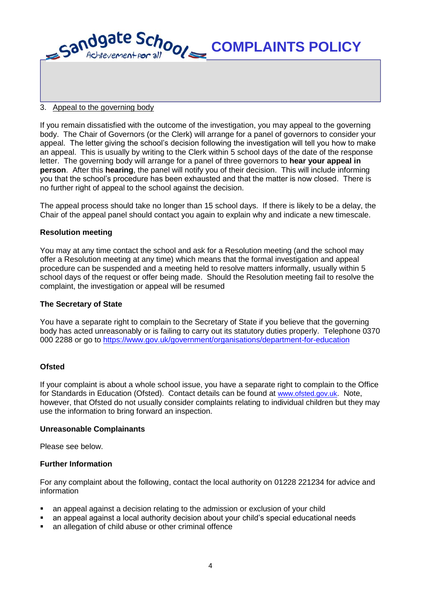

## 3. Appeal to the governing body

If you remain dissatisfied with the outcome of the investigation, you may appeal to the governing body. The Chair of Governors (or the Clerk) will arrange for a panel of governors to consider your appeal. The letter giving the school's decision following the investigation will tell you how to make an appeal. This is usually by writing to the Clerk within 5 school days of the date of the response letter. The governing body will arrange for a panel of three governors to **hear your appeal in person**. After this **hearing**, the panel will notify you of their decision. This will include informing you that the school's procedure has been exhausted and that the matter is now closed. There is no further right of appeal to the school against the decision.

The appeal process should take no longer than 15 school days. If there is likely to be a delay, the Chair of the appeal panel should contact you again to explain why and indicate a new timescale.

## **Resolution meeting**

You may at any time contact the school and ask for a Resolution meeting (and the school may offer a Resolution meeting at any time) which means that the formal investigation and appeal procedure can be suspended and a meeting held to resolve matters informally, usually within 5 school days of the request or offer being made. Should the Resolution meeting fail to resolve the complaint, the investigation or appeal will be resumed

#### **The Secretary of State**

You have a separate right to complain to the Secretary of State if you believe that the governing body has acted unreasonably or is failing to carry out its statutory duties properly. Telephone 0370 000 2288 or go to<https://www.gov.uk/government/organisations/department-for-education>

# **Ofsted**

If your complaint is about a whole school issue, you have a separate right to complain to the Office for Standards in Education (Ofsted). Contact details can be found at [www.ofsted.gov.uk](http://www.ofsted.gov.uk/). Note, however, that Ofsted do not usually consider complaints relating to individual children but they may use the information to bring forward an inspection.

#### **Unreasonable Complainants**

Please see below.

# **Further Information**

For any complaint about the following, contact the local authority on 01228 221234 for advice and information

- an appeal against a decision relating to the admission or exclusion of your child
- an appeal against a local authority decision about your child's special educational needs
- an allegation of child abuse or other criminal offence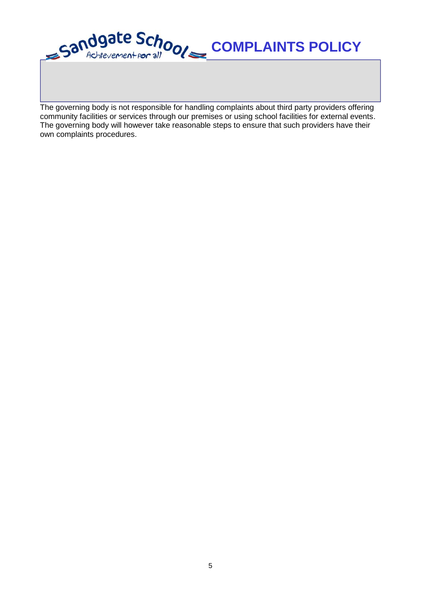

The governing body is not responsible for handling complaints about third party providers offering community facilities or services through our premises or using school facilities for external events. The governing body will however take reasonable steps to ensure that such providers have their own complaints procedures.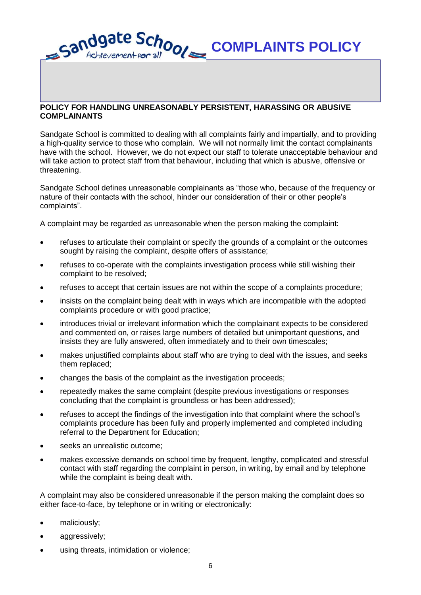Sandgate Schools **COMPLAINTS POLICY**

## **POLICY FOR HANDLING UNREASONABLY PERSISTENT, HARASSING OR ABUSIVE COMPLAINANTS**

Sandgate School is committed to dealing with all complaints fairly and impartially, and to providing a high-quality service to those who complain. We will not normally limit the contact complainants have with the school. However, we do not expect our staff to tolerate unacceptable behaviour and will take action to protect staff from that behaviour, including that which is abusive, offensive or threatening.

Sandgate School defines unreasonable complainants as "those who, because of the frequency or nature of their contacts with the school, hinder our consideration of their or other people's complaints".

A complaint may be regarded as unreasonable when the person making the complaint:

- refuses to articulate their complaint or specify the grounds of a complaint or the outcomes sought by raising the complaint, despite offers of assistance;
- refuses to co-operate with the complaints investigation process while still wishing their complaint to be resolved;
- refuses to accept that certain issues are not within the scope of a complaints procedure;
- insists on the complaint being dealt with in ways which are incompatible with the adopted complaints procedure or with good practice;
- introduces trivial or irrelevant information which the complainant expects to be considered and commented on, or raises large numbers of detailed but unimportant questions, and insists they are fully answered, often immediately and to their own timescales;
- makes unjustified complaints about staff who are trying to deal with the issues, and seeks them replaced;
- changes the basis of the complaint as the investigation proceeds;
- repeatedly makes the same complaint (despite previous investigations or responses concluding that the complaint is groundless or has been addressed);
- refuses to accept the findings of the investigation into that complaint where the school's complaints procedure has been fully and properly implemented and completed including referral to the Department for Education;
- seeks an unrealistic outcome;
- makes excessive demands on school time by frequent, lengthy, complicated and stressful contact with staff regarding the complaint in person, in writing, by email and by telephone while the complaint is being dealt with.

A complaint may also be considered unreasonable if the person making the complaint does so either face-to-face, by telephone or in writing or electronically:

- maliciously;
- aggressively;
- using threats, intimidation or violence;